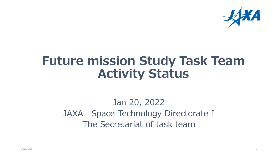

## **Future mission Study Task Team Activity Status**

#### Jan 20, 2022 JAXA Space Technology Directorate I The Secretariat of task team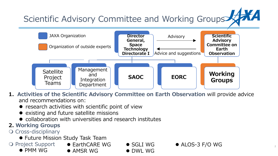

**1.Activities of the Scientific Advisory Committee on Earth Observation** will provide advice and recommendations on:

- $\bullet$  research activities with scientific point of view
- existing and future satellite missions
- collaboration with universities and research institutes
- **2. Working Groups**
- O Cross-disciplinary
	- Future Mission Study Task Team
- O Project Support • PMM WG
	- EarthCARE WG
	- **AMSR WG**

● SGLI WG

● DWL WG

● ALOS-3 F/O WG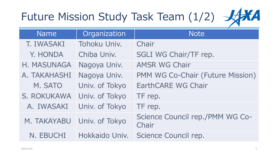# Future Mission Study Task Team (1/2)  $\frac{1}{2}$



| <b>Name</b>                | Organization   | <b>Note</b>                              |
|----------------------------|----------------|------------------------------------------|
| T. IWASAKI                 | Tohoku Univ.   | Chair                                    |
| Y. HONDA                   | Chiba Univ.    | SGLI WG Chair/TF rep.                    |
| H. MASUNAGA                | Nagoya Univ.   | <b>AMSR WG Chair</b>                     |
| A. TAKAHASHI               | Nagoya Univ.   | PMM WG Co-Chair (Future Mission)         |
| M. SATO                    | Univ. of Tokyo | <b>EarthCARE WG Chair</b>                |
| S. ROKUKAWA                | Univ. of Tokyo | TF rep.                                  |
| A. IWASAKI                 | Univ. of Tokyo | TF rep.                                  |
| M. TAKAYABU Univ. of Tokyo |                | Science Council rep./PMM WG Co-<br>Chair |
| N. EBUCHI                  | Hokkaido Univ. | Science Council rep.                     |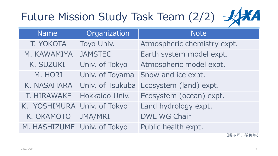# Future Mission Study Task Team (2/2)  $\frac{1}{2}$



| <b>Name</b>                 | Organization     | <b>Note</b>                 |
|-----------------------------|------------------|-----------------------------|
| T. YOKOTA                   | Toyo Univ.       | Atmospheric chemistry expt. |
| M. KAWAMIYA                 | <b>JAMSTEC</b>   | Earth system model expt.    |
| K. SUZUKI                   | Univ. of Tokyo   | Atmospheric model expt.     |
| M. HORI                     | Univ. of Toyama  | Snow and ice expt.          |
| K. NASAHARA                 | Univ. of Tsukuba | Ecosystem (land) expt.      |
| T. HIRAWAKE                 | Hokkaido Univ.   | Ecosystem (ocean) expt.     |
| K. YOSHIMURA Univ. of Tokyo |                  | Land hydrology expt.        |
| K. OKAMOTO                  | JMA/MRI          | <b>DWL WG Chair</b>         |
| M. HASHIZUME Univ. of Tokyo |                  | Public health expt.         |

(順不同、敬称略)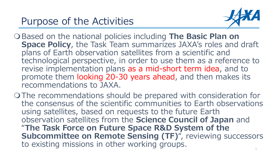

- O Based on the national policies including The Basic Plan on **Space Policy**, the Task Team summarizes JAXA's roles and draft plans of Earth observation satellites from a scientific and technological perspective, in order to use them as a reference to revise implementation plans as a mid-short term idea, and to promote them looking 20-30 years ahead, and then makes its recommendations to JAXA.
- The recommendations should be prepared with consideration for the consensus of the scientific communities to Earth observations using satellites, based on requests to the future Earth observation satellites from the **Science Council of Japan** and "**The Task Force on Future Space R&D System of the Subcommittee on Remote Sensing (TF)**", reviewing successors to existing missions in other working groups.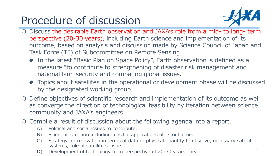### Procedure of discussion



- Discuss the desirable Earth observation and JAXA's role from a mid- to long- term perspective (20-30 years), including Earth science and implementation of its outcome, based on analysis and discussion made by Science Council of Japan and Task Force (TF) of Subcommittee on Remote Sensing.
	- In the latest "Basic Plan on Space Policy", Earth observation is defined as a measure "to contribute to strengthening of disaster risk management and national land security and combating global issues."
	- Topics about satellites in the operational or development phase will be discussed by the designated working group.
- Define objectives of scientific research and implementation of its outcome as well as converge the direction of technological feasibility by iteration between science community and JAXA's engineers.
- Compile a result of discussion about the following agenda into a report.
	- A) Political and social issues to contribute.
	- B) Scientific scenario including feasible applications of its outcome.
	- C) Strategy for realization in terms of data or physical quantity to observe, necessary satellite systems, role of satellite sensors.
	- D) Development of technology from perspective of 20-30 years ahead.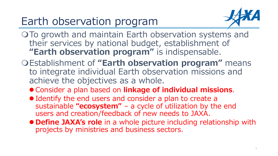### Earth observation program



- O To growth and maintain Earth observation systems and their services by national budget, establishment of **"Earth observation program"** is indispensable.
- Establishment of **"Earth observation program"** means to integrate individual Earth observation missions and achieve the objectives as a whole.
	- Consider a plan based on **linkage of individual missions**.
	- Identify the end users and consider a plan to create a sustainable **"ecosystem"** – a cycle of utilization by the end users and creation/feedback of new needs to JAXA.
	- **Define JAXA's role** in a whole picture including relationship with projects by ministries and business sectors.